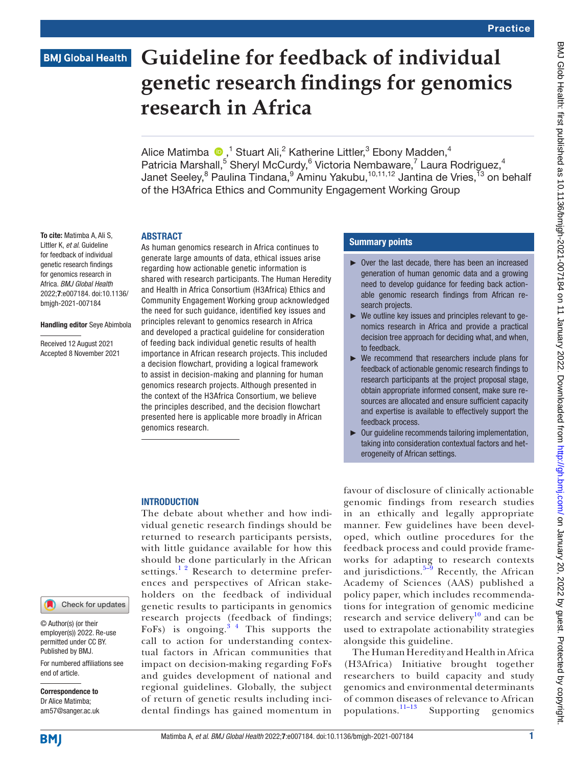# **BMJ Global Health**

# **Guideline for feedback of individual genetic research findings for genomics research in Africa**

Alice Matimba  $\bigcirc$  ,<sup>1</sup> Stuart Ali,<sup>2</sup> Katherine Littler,<sup>3</sup> Ebony Madden,<sup>4</sup> Patricia Marshall,<sup>5</sup> Sheryl McCurdy,<sup>6</sup> Victoria Nembaware,<sup>7</sup> Laura Rodriguez,<sup>4</sup> Janet Seeley,<sup>8</sup> Paulina Tindana,<sup>9</sup> Aminu Yakubu,<sup>10,11,12</sup> Jantina de Vries,<sup>13</sup> on behalf of the H3Africa Ethics and Community Engagement Working Group

#### **ARSTRACT**

To cite: Matimba A, Ali S, Littler K, *et al*. Guideline for feedback of individual genetic research findings for genomics research in Africa. *BMJ Global Health* 2022;7:e007184. doi:10.1136/ bmjgh-2021-007184

#### Handling editor Seye Abimbola

Received 12 August 2021 Accepted 8 November 2021 As human genomics research in Africa continues to generate large amounts of data, ethical issues arise regarding how actionable genetic information is shared with research participants. The Human Heredity and Health in Africa Consortium (H3Africa) Ethics and Community Engagement Working group acknowledged the need for such guidance, identified key issues and principles relevant to genomics research in Africa and developed a practical guideline for consideration of feeding back individual genetic results of health importance in African research projects. This included a decision flowchart, providing a logical framework to assist in decision-making and planning for human genomics research projects. Although presented in the context of the H3Africa Consortium, we believe the principles described, and the decision flowchart presented here is applicable more broadly in African genomics research.

#### Summary points

- ► Over the last decade, there has been an increased generation of human genomic data and a growing need to develop guidance for feeding back actionable genomic research findings from African research projects.
- ► We outline key issues and principles relevant to genomics research in Africa and provide a practical decision tree approach for deciding what, and when, to feedback.
- ► We recommend that researchers include plans for feedback of actionable genomic research findings to research participants at the project proposal stage, obtain appropriate informed consent, make sure resources are allocated and ensure sufficient capacity and expertise is available to effectively support the feedback process.
- ► Our guideline recommends tailoring implementation, taking into consideration contextual factors and heterogeneity of African settings.

# **INTRODUCTION**

The debate about whether and how individual genetic research findings should be returned to research participants persists, with little guidance available for how this should be done particularly in the African settings.<sup>12</sup> Research to determine preferences and perspectives of African stakeholders on the feedback of individual genetic results to participants in genomics research projects (feedback of findings; FoFs) is ongoing.<sup>34</sup> This supports the call to action for understanding contextual factors in African communities that impact on decision-making regarding FoFs and guides development of national and regional guidelines. Globally, the subject of return of genetic results including incidental findings has gained momentum in

favour of disclosure of clinically actionable genomic findings from research studies in an ethically and legally appropriate manner. Few guidelines have been developed, which outline procedures for the feedback process and could provide frameworks for adapting to research contexts and jurisdictions. $5-9$  Recently, the African Academy of Sciences (AAS) published a policy paper, which includes recommendations for integration of genomic medicine research and service delivery $10$  and can be used to extrapolate actionability strategies alongside this guideline.

The Human Heredity and Health in Africa (H3Africa) Initiative brought together researchers to build capacity and study genomics and environmental determinants of common diseases of relevance to African populations.<sup>11-13</sup> Supporting genomics Supporting genomics

end of article.

Correspondence to Dr Alice Matimba; am57@sanger.ac.uk

© Author(s) (or their employer(s)) 2022. Re-use permitted under CC BY. Published by BMJ.

For numbered affiliations see

Check for updates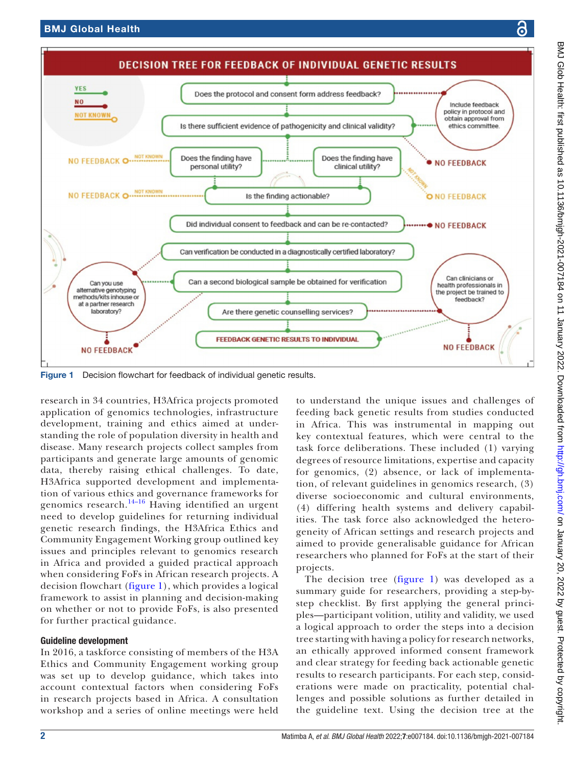



<span id="page-1-0"></span>Figure 1 Decision flowchart for feedback of individual genetic results.

research in 34 countries, H3Africa projects promoted application of genomics technologies, infrastructure development, training and ethics aimed at understanding the role of population diversity in health and disease. Many research projects collect samples from participants and generate large amounts of genomic data, thereby raising ethical challenges. To date, H3Africa supported development and implementation of various ethics and governance frameworks for genomics research.<sup>14–16</sup> Having identified an urgent need to develop guidelines for returning individual genetic research findings, the H3Africa Ethics and Community Engagement Working group outlined key issues and principles relevant to genomics research in Africa and provided a guided practical approach when considering FoFs in African research projects. A decision flowchart [\(figure](#page-1-0) 1), which provides a logical framework to assist in planning and decision-making on whether or not to provide FoFs, is also presented for further practical guidance.

# Guideline development

In 2016, a taskforce consisting of members of the H3A Ethics and Community Engagement working group was set up to develop guidance, which takes into account contextual factors when considering FoFs in research projects based in Africa. A consultation workshop and a series of online meetings were held

to understand the unique issues and challenges of feeding back genetic results from studies conducted in Africa. This was instrumental in mapping out key contextual features, which were central to the task force deliberations. These included (1) varying degrees of resource limitations, expertise and capacity for genomics, (2) absence, or lack of implementation, of relevant guidelines in genomics research, (3) diverse socioeconomic and cultural environments, (4) differing health systems and delivery capabilities. The task force also acknowledged the heterogeneity of African settings and research projects and aimed to provide generalisable guidance for African researchers who planned for FoFs at the start of their projects.

The decision tree ([figure](#page-1-0) 1) was developed as a summary guide for researchers, providing a step-bystep checklist. By first applying the general principles—participant volition, utility and validity, we used a logical approach to order the steps into a decision tree starting with having a policy for research networks, an ethically approved informed consent framework and clear strategy for feeding back actionable genetic results to research participants. For each step, considerations were made on practicality, potential challenges and possible solutions as further detailed in the guideline text. Using the decision tree at the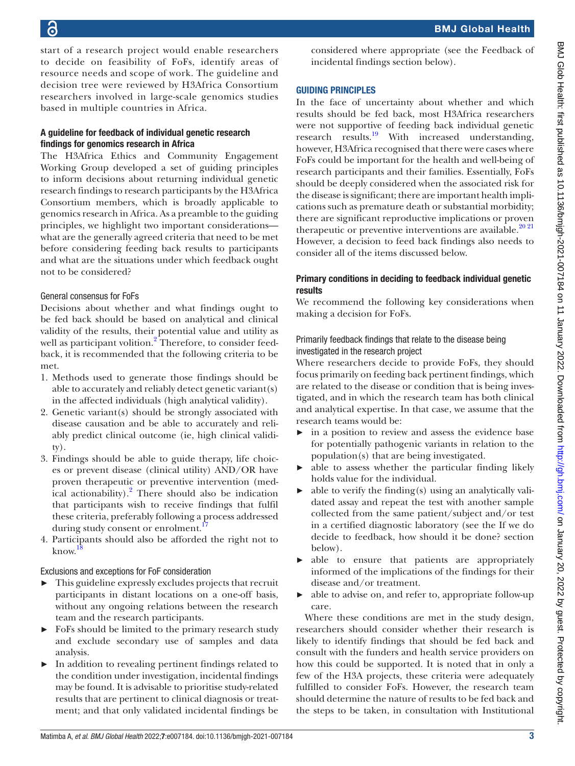start of a research project would enable researchers to decide on feasibility of FoFs, identify areas of resource needs and scope of work. The guideline and decision tree were reviewed by H3Africa Consortium researchers involved in large-scale genomics studies based in multiple countries in Africa.

# A guideline for feedback of individual genetic research findings for genomics research in Africa

The H3Africa Ethics and Community Engagement Working Group developed a set of guiding principles to inform decisions about returning individual genetic research findings to research participants by the H3Africa Consortium members, which is broadly applicable to genomics research in Africa. As a preamble to the guiding principles, we highlight two important considerations what are the generally agreed criteria that need to be met before considering feeding back results to participants and what are the situations under which feedback ought not to be considered?

# General consensus for FoFs

Decisions about whether and what findings ought to be fed back should be based on analytical and clinical validity of the results, their potential value and utility as well as participant volition.<sup>[2](#page-9-6)</sup> Therefore, to consider feedback, it is recommended that the following criteria to be met.

- 1. Methods used to generate those findings should be able to accurately and reliably detect genetic variant(s) in the affected individuals (high analytical validity).
- 2. Genetic variant(s) should be strongly associated with disease causation and be able to accurately and reliably predict clinical outcome (ie, high clinical validity).
- 3. Findings should be able to guide therapy, life choices or prevent disease (clinical utility) AND/OR have proven therapeutic or preventive intervention (medical actionability). $^{2}$  $^{2}$  $^{2}$  There should also be indication that participants wish to receive findings that fulfil these criteria, preferably following a process addressed during study consent or enrolment.<sup>1</sup>
- 4. Participants should also be afforded the right not to know. [18](#page-9-8)

Exclusions and exceptions for FoF consideration

- $\triangleright$  This guideline expressly excludes projects that recruit participants in distant locations on a one-off basis, without any ongoing relations between the research team and the research participants.
- ► FoFs should be limited to the primary research study and exclude secondary use of samples and data analysis.
- ► In addition to revealing pertinent findings related to the condition under investigation, incidental findings may be found. It is advisable to prioritise study-related results that are pertinent to clinical diagnosis or treatment; and that only validated incidental findings be

considered where appropriate (see the Feedback of incidental findings section below).

# GUIDING PRINCIPLES

In the face of uncertainty about whether and which results should be fed back, most H3Africa researchers were not supportive of feeding back individual genetic research results.<sup>[19](#page-9-9)</sup> With increased understanding, however, H3Africa recognised that there were cases where FoFs could be important for the health and well-being of research participants and their families. Essentially, FoFs should be deeply considered when the associated risk for the disease is significant; there are important health implications such as premature death or substantial morbidity; there are significant reproductive implications or proven therapeutic or preventive interventions are available. $20\frac{20\frac{21}{2}}{20\frac{21}{2}}$ However, a decision to feed back findings also needs to consider all of the items discussed below.

# Primary conditions in deciding to feedback individual genetic results

We recommend the following key considerations when making a decision for FoFs.

# Primarily feedback findings that relate to the disease being investigated in the research project

Where researchers decide to provide FoFs, they should focus primarily on feeding back pertinent findings, which are related to the disease or condition that is being investigated, and in which the research team has both clinical and analytical expertise. In that case, we assume that the research teams would be:

- ► in a position to review and assess the evidence base for potentially pathogenic variants in relation to the population(s) that are being investigated.
- $\triangleright$  able to assess whether the particular finding likely holds value for the individual.
- $\blacktriangleright$  able to verify the finding(s) using an analytically validated assay and repeat the test with another sample collected from the same patient/subject and/or test in a certified diagnostic laboratory (see the If we do decide to feedback, how should it be done? section below).
- ► able to ensure that patients are appropriately informed of the implications of the findings for their disease and/or treatment.
- ► able to advise on, and refer to, appropriate follow-up care.

Where these conditions are met in the study design, researchers should consider whether their research is likely to identify findings that should be fed back and consult with the funders and health service providers on how this could be supported. It is noted that in only a few of the H3A projects, these criteria were adequately fulfilled to consider FoFs. However, the research team should determine the nature of results to be fed back and the steps to be taken, in consultation with Institutional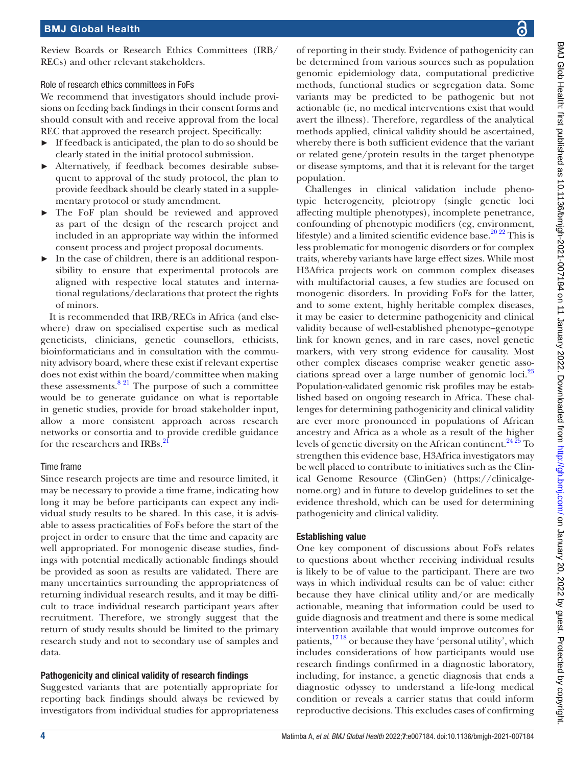Review Boards or Research Ethics Committees (IRB/ RECs) and other relevant stakeholders.

Role of research ethics committees in FoFs

We recommend that investigators should include provisions on feeding back findings in their consent forms and should consult with and receive approval from the local REC that approved the research project. Specifically:

- ► If feedback is anticipated, the plan to do so should be clearly stated in the initial protocol submission.
- ► Alternatively, if feedback becomes desirable subsequent to approval of the study protocol, the plan to provide feedback should be clearly stated in a supplementary protocol or study amendment.
- The FoF plan should be reviewed and approved as part of the design of the research project and included in an appropriate way within the informed consent process and project proposal documents.
- ► In the case of children, there is an additional responsibility to ensure that experimental protocols are aligned with respective local statutes and international regulations/declarations that protect the rights of minors.

It is recommended that IRB/RECs in Africa (and elsewhere) draw on specialised expertise such as medical geneticists, clinicians, genetic counsellors, ethicists, bioinformaticians and in consultation with the community advisory board, where these exist if relevant expertise does not exist within the board/committee when making these assessments.  $8^{21}$  The purpose of such a committee would be to generate guidance on what is reportable in genetic studies, provide for broad stakeholder input, allow a more consistent approach across research networks or consortia and to provide credible guidance for the researchers and IRBs.<sup>[21](#page-9-12)</sup>

# Time frame

Since research projects are time and resource limited, it may be necessary to provide a time frame, indicating how long it may be before participants can expect any individual study results to be shared. In this case, it is advisable to assess practicalities of FoFs before the start of the project in order to ensure that the time and capacity are well appropriated. For monogenic disease studies, findings with potential medically actionable findings should be provided as soon as results are validated. There are many uncertainties surrounding the appropriateness of returning individual research results, and it may be difficult to trace individual research participant years after recruitment. Therefore, we strongly suggest that the return of study results should be limited to the primary research study and not to secondary use of samples and data.

# Pathogenicity and clinical validity of research findings

Suggested variants that are potentially appropriate for reporting back findings should always be reviewed by investigators from individual studies for appropriateness

of reporting in their study. Evidence of pathogenicity can be determined from various sources such as population genomic epidemiology data, computational predictive methods, functional studies or segregation data. Some variants may be predicted to be pathogenic but not actionable (ie, no medical interventions exist that would avert the illness). Therefore, regardless of the analytical methods applied, clinical validity should be ascertained, whereby there is both sufficient evidence that the variant or related gene/protein results in the target phenotype or disease symptoms, and that it is relevant for the target population.

Challenges in clinical validation include phenotypic heterogeneity, pleiotropy (single genetic loci affecting multiple phenotypes), incomplete penetrance, confounding of phenotypic modifiers (eg, environment, lifestyle) and a limited scientific evidence base. $20\frac{20\frac{22}{2}}{21}$  This is less problematic for monogenic disorders or for complex traits, whereby variants have large effect sizes. While most H3Africa projects work on common complex diseases with multifactorial causes, a few studies are focused on monogenic disorders. In providing FoFs for the latter, and to some extent, highly heritable complex diseases, it may be easier to determine pathogenicity and clinical validity because of well-established phenotype–genotype link for known genes, and in rare cases, novel genetic markers, with very strong evidence for causality. Most other complex diseases comprise weaker genetic asso-ciations spread over a large number of genomic loci.<sup>[23](#page-9-13)</sup> Population-validated genomic risk profiles may be established based on ongoing research in Africa. These challenges for determining pathogenicity and clinical validity are ever more pronounced in populations of African ancestry and Africa as a whole as a result of the higher levels of genetic diversity on the African continent.<sup>24 25</sup> To strengthen this evidence base, H3Africa investigators may be well placed to contribute to initiatives such as the Clinical Genome Resource (ClinGen) ([https://clinicalge](https://clinicalgenome.org)[nome.org\)](https://clinicalgenome.org) and in future to develop guidelines to set the evidence threshold, which can be used for determining pathogenicity and clinical validity.

# Establishing value

One key component of discussions about FoFs relates to questions about whether receiving individual results is likely to be of value to the participant. There are two ways in which individual results can be of value: either because they have clinical utility and/or are medically actionable, meaning that information could be used to guide diagnosis and treatment and there is some medical intervention available that would improve outcomes for patients,[17 18](#page-9-7) or because they have 'personal utility', which includes considerations of how participants would use research findings confirmed in a diagnostic laboratory, including, for instance, a genetic diagnosis that ends a diagnostic odyssey to understand a life-long medical condition or reveals a carrier status that could inform reproductive decisions. This excludes cases of confirming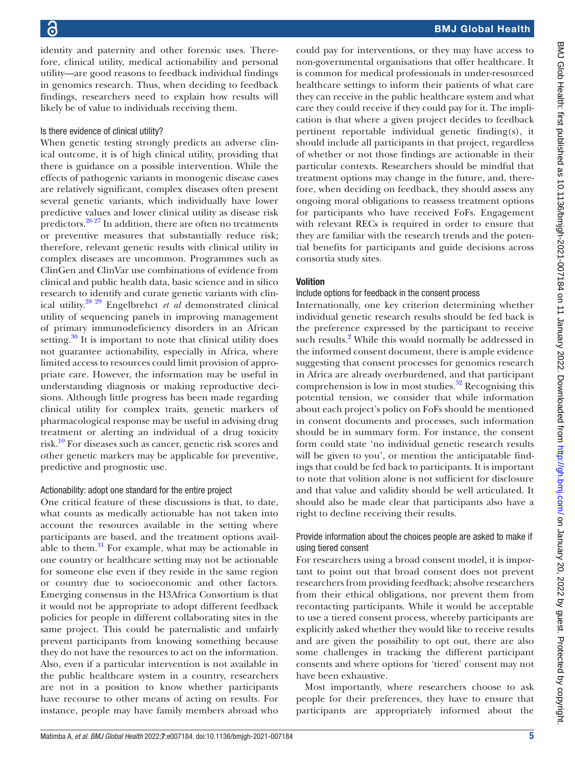identity and paternity and other forensic uses. Therefore, clinical utility, medical actionability and personal utility—are good reasons to feedback individual findings in genomics research. Thus, when deciding to feedback findings, researchers need to explain how results will likely be of value to individuals receiving them.

# Is there evidence of clinical utility?

When genetic testing strongly predicts an adverse clinical outcome, it is of high clinical utility, providing that there is guidance on a possible intervention. While the effects of pathogenic variants in monogenic disease cases are relatively significant, complex diseases often present several genetic variants, which individually have lower predictive values and lower clinical utility as disease risk predictors. $26\frac{26}{27}$  In addition, there are often no treatments or preventive measures that substantially reduce risk; therefore, relevant genetic results with clinical utility in complex diseases are uncommon. Programmes such as ClinGen and ClinVar use combinations of evidence from clinical and public health data, basic science and in silico research to identify and curate genetic variants with clinical utility[.28 29](#page-9-16) Engelbrehct *et al* demonstrated clinical utility of sequencing panels in improving management of primary immunodeficiency disorders in an African setting. $30$  It is important to note that clinical utility does not guarantee actionability, especially in Africa, where limited access to resources could limit provision of appropriate care. However, the information may be useful in understanding diagnosis or making reproductive decisions. Although little progress has been made regarding clinical utility for complex traits, genetic markers of pharmacological response may be useful in advising drug treatment or alerting an individual of a drug toxicity risk.<sup>10</sup> For diseases such as cancer, genetic risk scores and other genetic markers may be applicable for preventive, predictive and prognostic use.

# Actionability: adopt one standard for the entire project

One critical feature of these discussions is that, to date, what counts as medically actionable has not taken into account the resources available in the setting where participants are based, and the treatment options available to them. $31$  For example, what may be actionable in one country or healthcare setting may not be actionable for someone else even if they reside in the same region or country due to socioeconomic and other factors. Emerging consensus in the H3Africa Consortium is that it would not be appropriate to adopt different feedback policies for people in different collaborating sites in the same project. This could be paternalistic and unfairly prevent participants from knowing something because they do not have the resources to act on the information. Also, even if a particular intervention is not available in the public healthcare system in a country, researchers are not in a position to know whether participants have recourse to other means of acting on results. For instance, people may have family members abroad who

could pay for interventions, or they may have access to non-governmental organisations that offer healthcare. It is common for medical professionals in under-resourced healthcare settings to inform their patients of what care they can receive in the public healthcare system and what care they could receive if they could pay for it. The implication is that where a given project decides to feedback pertinent reportable individual genetic finding(s), it should include all participants in that project, regardless of whether or not those findings are actionable in their particular contexts. Researchers should be mindful that treatment options may change in the future, and, therefore, when deciding on feedback, they should assess any ongoing moral obligations to reassess treatment options for participants who have received FoFs. Engagement with relevant RECs is required in order to ensure that they are familiar with the research trends and the potential benefits for participants and guide decisions across consortia study sites.

# **Volition**

# Include options for feedback in the consent process

Internationally, one key criterion determining whether individual genetic research results should be fed back is the preference expressed by the participant to receive such results.<sup>2</sup> While this would normally be addressed in the informed consent document, there is ample evidence suggesting that consent processes for genomics research in Africa are already overburdened, and that participant comprehension is low in most studies. $32$  Recognising this potential tension, we consider that while information about each project's policy on FoFs should be mentioned in consent documents and processes, such information should be in summary form. For instance, the consent form could state 'no individual genetic research results will be given to you', or mention the anticipatable findings that could be fed back to participants. It is important to note that volition alone is not sufficient for disclosure and that value and validity should be well articulated. It should also be made clear that participants also have a right to decline receiving their results.

# Provide information about the choices people are asked to make if using tiered consent

For researchers using a broad consent model, it is important to point out that broad consent does not prevent researchers from providing feedback; absolve researchers from their ethical obligations, nor prevent them from recontacting participants. While it would be acceptable to use a tiered consent process, whereby participants are explicitly asked whether they would like to receive results and are given the possibility to opt out, there are also some challenges in tracking the different participant consents and where options for 'tiered' consent may not have been exhaustive.

Most importantly, where researchers choose to ask people for their preferences, they have to ensure that participants are appropriately informed about the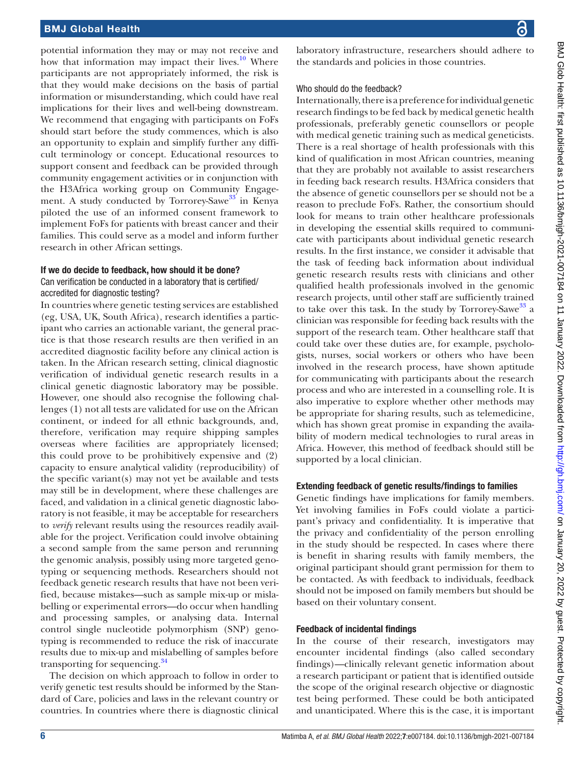# BMJ Global Health

potential information they may or may not receive and how that information may impact their lives. $\frac{10}{10}$  Where participants are not appropriately informed, the risk is that they would make decisions on the basis of partial information or misunderstanding, which could have real implications for their lives and well-being downstream. We recommend that engaging with participants on FoFs should start before the study commences, which is also an opportunity to explain and simplify further any difficult terminology or concept. Educational resources to support consent and feedback can be provided through community engagement activities or in conjunction with the H3Africa working group on Community Engage-ment. A study conducted by Torrorey-Sawe<sup>[33](#page-9-20)</sup> in Kenya piloted the use of an informed consent framework to implement FoFs for patients with breast cancer and their families. This could serve as a model and inform further research in other African settings.

#### If we do decide to feedback, how should it be done?

### Can verification be conducted in a laboratory that is certified/ accredited for diagnostic testing?

In countries where genetic testing services are established (eg, USA, UK, South Africa), research identifies a participant who carries an actionable variant, the general practice is that those research results are then verified in an accredited diagnostic facility before any clinical action is taken. In the African research setting, clinical diagnostic verification of individual genetic research results in a clinical genetic diagnostic laboratory may be possible. However, one should also recognise the following challenges (1) not all tests are validated for use on the African continent, or indeed for all ethnic backgrounds, and, therefore, verification may require shipping samples overseas where facilities are appropriately licensed; this could prove to be prohibitively expensive and (2) capacity to ensure analytical validity (reproducibility) of the specific variant(s) may not yet be available and tests may still be in development, where these challenges are faced, and validation in a clinical genetic diagnostic laboratory is not feasible, it may be acceptable for researchers to *verify* relevant results using the resources readily available for the project. Verification could involve obtaining a second sample from the same person and rerunning the genomic analysis, possibly using more targeted genotyping or sequencing methods. Researchers should not feedback genetic research results that have not been verified, because mistakes—such as sample mix-up or mislabelling or experimental errors—do occur when handling and processing samples, or analysing data. Internal control single nucleotide polymorphism (SNP) genotyping is recommended to reduce the risk of inaccurate results due to mix-up and mislabelling of samples before transporting for sequencing.<sup>[34](#page-9-21)</sup>

The decision on which approach to follow in order to verify genetic test results should be informed by the Standard of Care, policies and laws in the relevant country or countries. In countries where there is diagnostic clinical

laboratory infrastructure, researchers should adhere to the standards and policies in those countries.

#### Who should do the feedback?

Internationally, there is a preference for individual genetic research findings to be fed back by medical genetic health professionals, preferably genetic counsellors or people with medical genetic training such as medical geneticists. There is a real shortage of health professionals with this kind of qualification in most African countries, meaning that they are probably not available to assist researchers in feeding back research results. H3Africa considers that the absence of genetic counsellors per se should not be a reason to preclude FoFs. Rather, the consortium should look for means to train other healthcare professionals in developing the essential skills required to communicate with participants about individual genetic research results. In the first instance, we consider it advisable that the task of feeding back information about individual genetic research results rests with clinicians and other qualified health professionals involved in the genomic research projects, until other staff are sufficiently trained to take over this task. In the study by Torrorey-Sawe<sup>[33](#page-9-20)</sup> a clinician was responsible for feeding back results with the support of the research team. Other healthcare staff that could take over these duties are, for example, psychologists, nurses, social workers or others who have been involved in the research process, have shown aptitude for communicating with participants about the research process and who are interested in a counselling role. It is also imperative to explore whether other methods may be appropriate for sharing results, such as telemedicine, which has shown great promise in expanding the availability of modern medical technologies to rural areas in Africa. However, this method of feedback should still be supported by a local clinician.

# Extending feedback of genetic results/findings to families

Genetic findings have implications for family members. Yet involving families in FoFs could violate a participant's privacy and confidentiality. It is imperative that the privacy and confidentiality of the person enrolling in the study should be respected. In cases where there is benefit in sharing results with family members, the original participant should grant permission for them to be contacted. As with feedback to individuals, feedback should not be imposed on family members but should be based on their voluntary consent.

#### Feedback of incidental findings

In the course of their research, investigators may encounter incidental findings (also called secondary findings)—clinically relevant genetic information about a research participant or patient that is identified outside the scope of the original research objective or diagnostic test being performed. These could be both anticipated and unanticipated. Where this is the case, it is important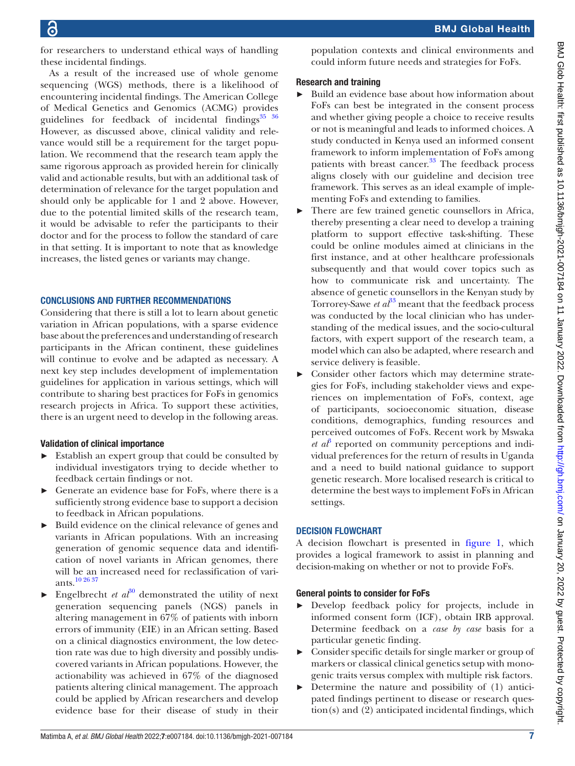for researchers to understand ethical ways of handling these incidental findings.

As a result of the increased use of whole genome sequencing (WGS) methods, there is a likelihood of encountering incidental findings. The American College of Medical Genetics and Genomics (ACMG) provides guidelines for feedback of incidental findings $35\frac{36}{10}$ However, as discussed above, clinical validity and relevance would still be a requirement for the target population. We recommend that the research team apply the same rigorous approach as provided herein for clinically valid and actionable results, but with an additional task of determination of relevance for the target population and should only be applicable for 1 and 2 above. However, due to the potential limited skills of the research team, it would be advisable to refer the participants to their doctor and for the process to follow the standard of care in that setting. It is important to note that as knowledge increases, the listed genes or variants may change.

# CONCLUSIONS AND FURTHER RECOMMENDATIONS

Considering that there is still a lot to learn about genetic variation in African populations, with a sparse evidence base about the preferences and understanding of research participants in the African continent, these guidelines will continue to evolve and be adapted as necessary. A next key step includes development of implementation guidelines for application in various settings, which will contribute to sharing best practices for FoFs in genomics research projects in Africa. To support these activities, there is an urgent need to develop in the following areas.

# Validation of clinical importance

- ► Establish an expert group that could be consulted by individual investigators trying to decide whether to feedback certain findings or not.
- ► Generate an evidence base for FoFs, where there is a sufficiently strong evidence base to support a decision to feedback in African populations.
- ► Build evidence on the clinical relevance of genes and variants in African populations. With an increasing generation of genomic sequence data and identification of novel variants in African genomes, there will be an increased need for reclassification of variants.[10 26 37](#page-9-3)
- Engelbrecht *et al*<sup>[30](#page-9-17)</sup> demonstrated the utility of next generation sequencing panels (NGS) panels in altering management in 67% of patients with inborn errors of immunity (EIE) in an African setting. Based on a clinical diagnostics environment, the low detection rate was due to high diversity and possibly undiscovered variants in African populations. However, the actionability was achieved in 67% of the diagnosed patients altering clinical management. The approach could be applied by African researchers and develop evidence base for their disease of study in their

population contexts and clinical environments and could inform future needs and strategies for FoFs.

# Research and training

- Build an evidence base about how information about FoFs can best be integrated in the consent process and whether giving people a choice to receive results or not is meaningful and leads to informed choices. A study conducted in Kenya used an informed consent framework to inform implementation of FoFs among patients with breast cancer. $33$  The feedback process aligns closely with our guideline and decision tree framework. This serves as an ideal example of implementing FoFs and extending to families.
- There are few trained genetic counsellors in Africa, thereby presenting a clear need to develop a training platform to support effective task-shifting. These could be online modules aimed at clinicians in the first instance, and at other healthcare professionals subsequently and that would cover topics such as how to communicate risk and uncertainty. The absence of genetic counsellors in the Kenyan study by Torrorey-Sawe *et al*<sup>[33](#page-9-20)</sup> meant that the feedback process was conducted by the local clinician who has understanding of the medical issues, and the socio-cultural factors, with expert support of the research team, a model which can also be adapted, where research and service delivery is feasible.
- ► Consider other factors which may determine strategies for FoFs, including stakeholder views and experiences on implementation of FoFs, context, age of participants, socioeconomic situation, disease conditions, demographics, funding resources and perceived outcomes of FoFs. Recent work by Mswaka  $et\ a^{\beta}$  reported on community perceptions and individual preferences for the return of results in Uganda and a need to build national guidance to support genetic research. More localised research is critical to determine the best ways to implement FoFs in African settings.

# DECISION FLOWCHART

A decision flowchart is presented in [figure](#page-1-0) 1, which provides a logical framework to assist in planning and decision-making on whether or not to provide FoFs.

# General points to consider for FoFs

- ► Develop feedback policy for projects, include in informed consent form (ICF), obtain IRB approval. Determine feedback on a *case by case* basis for a particular genetic finding.
- ► Consider specific details for single marker or group of markers or classical clinical genetics setup with monogenic traits versus complex with multiple risk factors.
- ► Determine the nature and possibility of (1) anticipated findings pertinent to disease or research question(s) and (2) anticipated incidental findings, which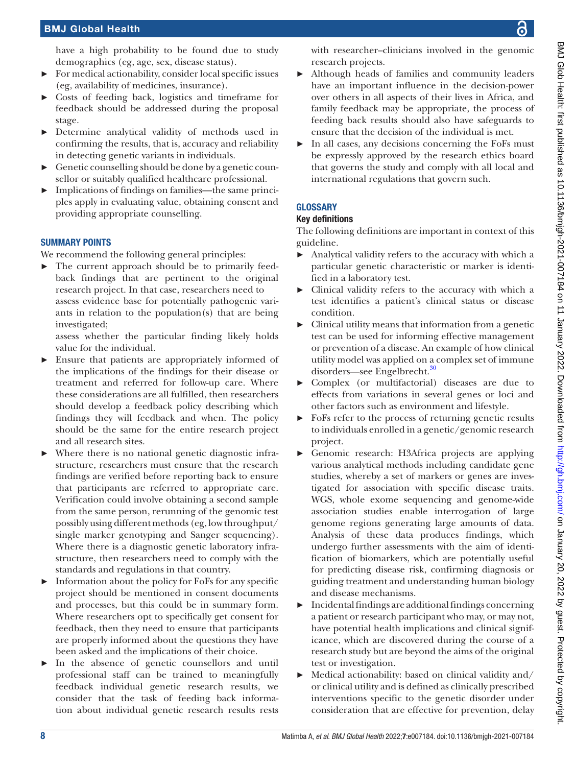# BMJ Global Health

have a high probability to be found due to study demographics (eg, age, sex, disease status).

- ► For medical actionability, consider local specific issues (eg, availability of medicines, insurance).
- ► Costs of feeding back, logistics and timeframe for feedback should be addressed during the proposal stage.
- Determine analytical validity of methods used in confirming the results, that is, accuracy and reliability in detecting genetic variants in individuals.
- ► Genetic counselling should be done by a genetic counsellor or suitably qualified healthcare professional.
- ► Implications of findings on families—the same principles apply in evaluating value, obtaining consent and providing appropriate counselling.

# SUMMARY POINTS

We recommend the following general principles:

► The current approach should be to primarily feedback findings that are pertinent to the original research project. In that case, researchers need to assess evidence base for potentially pathogenic variants in relation to the population(s) that are being investigated;

assess whether the particular finding likely holds value for the individual.

- Ensure that patients are appropriately informed of the implications of the findings for their disease or treatment and referred for follow-up care. Where these considerations are all fulfilled, then researchers should develop a feedback policy describing which findings they will feedback and when. The policy should be the same for the entire research project and all research sites.
- ► Where there is no national genetic diagnostic infrastructure, researchers must ensure that the research findings are verified before reporting back to ensure that participants are referred to appropriate care. Verification could involve obtaining a second sample from the same person, rerunning of the genomic test possibly using different methods (eg, low throughput/ single marker genotyping and Sanger sequencing). Where there is a diagnostic genetic laboratory infrastructure, then researchers need to comply with the standards and regulations in that country.
- Information about the policy for FoFs for any specific project should be mentioned in consent documents and processes, but this could be in summary form. Where researchers opt to specifically get consent for feedback, then they need to ensure that participants are properly informed about the questions they have been asked and the implications of their choice.
- In the absence of genetic counsellors and until professional staff can be trained to meaningfully feedback individual genetic research results, we consider that the task of feeding back information about individual genetic research results rests

with researcher–clinicians involved in the genomic research projects.

- Although heads of families and community leaders have an important influence in the decision-power over others in all aspects of their lives in Africa, and family feedback may be appropriate, the process of feeding back results should also have safeguards to ensure that the decision of the individual is met.
- In all cases, any decisions concerning the FoFs must be expressly approved by the research ethics board that governs the study and comply with all local and international regulations that govern such.

# **GLOSSARY**

# Key definitions

The following definitions are important in context of this guideline.

- ► Analytical validity refers to the accuracy with which a particular genetic characteristic or marker is identified in a laboratory test.
- ► Clinical validity refers to the accuracy with which a test identifies a patient's clinical status or disease condition.
- $\blacktriangleright$  Clinical utility means that information from a genetic test can be used for informing effective management or prevention of a disease. An example of how clinical utility model was applied on a complex set of immune disorders—see Engelbrecht.<sup>30</sup>
- ► Complex (or multifactorial) diseases are due to effects from variations in several genes or loci and other factors such as environment and lifestyle.
- FoFs refer to the process of returning genetic results to individuals enrolled in a genetic/genomic research project.
- ► Genomic research: H3Africa projects are applying various analytical methods including candidate gene studies, whereby a set of markers or genes are investigated for association with specific disease traits. WGS, whole exome sequencing and genome-wide association studies enable interrogation of large genome regions generating large amounts of data. Analysis of these data produces findings, which undergo further assessments with the aim of identification of biomarkers, which are potentially useful for predicting disease risk, confirming diagnosis or guiding treatment and understanding human biology and disease mechanisms.
- ► Incidental findings are additional findings concerning a patient or research participant who may, or may not, have potential health implications and clinical significance, which are discovered during the course of a research study but are beyond the aims of the original test or investigation.
- ► Medical actionability: based on clinical validity and/ or clinical utility and is defined as clinically prescribed interventions specific to the genetic disorder under consideration that are effective for prevention, delay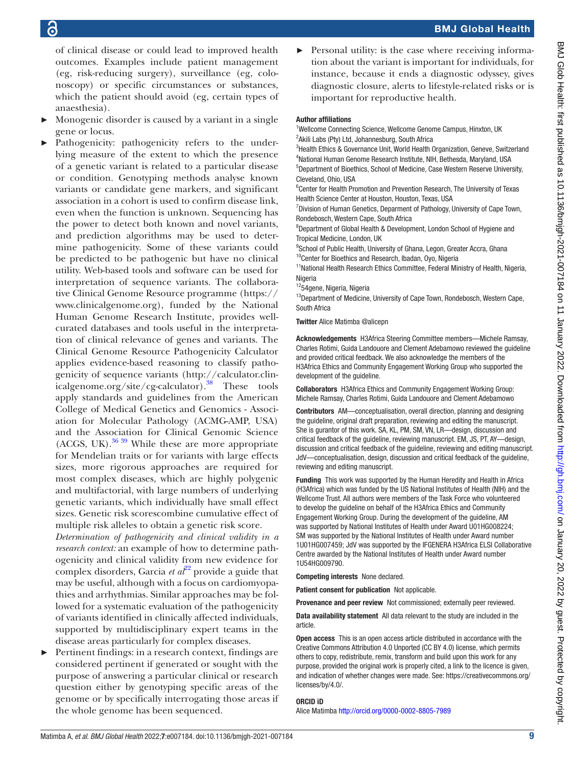of clinical disease or could lead to improved health outcomes. Examples include patient management (eg, risk-reducing surgery), surveillance (eg, colonoscopy) or specific circumstances or substances, which the patient should avoid (eg, certain types of anaesthesia).

- Monogenic disorder is caused by a variant in a single gene or locus.
- Pathogenicity: pathogenicity refers to the underlying measure of the extent to which the presence of a genetic variant is related to a particular disease or condition. Genotyping methods analyse known variants or candidate gene markers, and significant association in a cohort is used to confirm disease link, even when the function is unknown. Sequencing has the power to detect both known and novel variants, and prediction algorithms may be used to determine pathogenicity. Some of these variants could be predicted to be pathogenic but have no clinical utility. Web-based tools and software can be used for interpretation of sequence variants. The collaborative Clinical Genome Resource programme [\(https://](https://www.clinicalgenome.org) [www.clinicalgenome.org\)](https://www.clinicalgenome.org), funded by the National Human Genome Research Institute, provides wellcurated databases and tools useful in the interpretation of clinical relevance of genes and variants. The Clinical Genome Resource Pathogenicity Calculator applies evidence-based reasoning to classify pathogenicity of sequence variants ([http://calculator.clin](http://calculator.clinicalgenome.org/site/cg-calculator)[icalgenome.org/site/cg-calculator\)](http://calculator.clinicalgenome.org/site/cg-calculator).<sup>38</sup> These tools apply standards and guidelines from the American College of Medical Genetics and Genomics - Association for Molecular Pathology (ACMG-AMP, USA) and the Association for Clinical Genomic Science  $(ACGS, UK).$ <sup>[36 39](#page-9-24)</sup> While these are more appropriate for Mendelian traits or for variants with large effects sizes, more rigorous approaches are required for most complex diseases, which are highly polygenic and multifactorial, with large numbers of underlying genetic variants, which individually have small effect sizes. Genetic risk scorescombine cumulative effect of multiple risk alleles to obtain a genetic risk score.

*Determination of pathogenicity and clinical validity in a research context:* an example of how to determine pathogenicity and clinical validity from new evidence for complex disorders, Garcia *et al*<sup>22</sup> provide a guide that may be useful, although with a focus on cardiomyopathies and arrhythmias. Similar approaches may be followed for a systematic evaluation of the pathogenicity of variants identified in clinically affected individuals, supported by multidisciplinary expert teams in the disease areas particularly for complex diseases.

Pertinent findings: in a research context, findings are considered pertinent if generated or sought with the purpose of answering a particular clinical or research question either by genotyping specific areas of the genome or by specifically interrogating those areas if the whole genome has been sequenced.

Personal utility: is the case where receiving information about the variant is important for individuals, for instance, because it ends a diagnostic odyssey, gives diagnostic closure, alerts to lifestyle-related risks or is important for reproductive health.

BMJ Global Health

#### Author affiliations

<sup>1</sup>Wellcome Connecting Science, Wellcome Genome Campus, Hinxton, UK <sup>2</sup> Akili Labs (Pty) Ltd, Johannesburg, South Africa

<sup>3</sup>Health Ethics & Governance Unit, World Health Organization, Geneve, Switzerland 4 National Human Genome Research Institute, NIH, Bethesda, Maryland, USA 5 Department of Bioethics, School of Medicine, Case Western Reserve University, Cleveland, Ohio, USA

<sup>6</sup> Center for Health Promotion and Prevention Research, The University of Texas Health Science Center at Houston, Houston, Texas, USA

<sup>7</sup> Division of Human Genetics, Deparment of Pathology, University of Cape Town, Rondebosch, Western Cape, South Africa

8 Department of Global Health & Development, London School of Hygiene and Tropical Medicine, London, UK

<sup>9</sup>School of Public Health, University of Ghana, Legon, Greater Accra, Ghana

<sup>10</sup>Center for Bioethics and Research, Ibadan, Oyo, Nigeria

<sup>11</sup> National Health Research Ethics Committee, Federal Ministry of Health, Nigeria, **Nigeria** 

1254gene, Nigeria, Nigeria

<sup>13</sup>Department of Medicine, University of Cape Town, Rondebosch, Western Cape, South Africa

Twitter Alice Matimba [@alicepn](https://twitter.com/alicepn)

Acknowledgements H3Africa Steering Committee members—Michele Ramsay, Charles Rotimi, Guida Landouore and Clement Adebamowo reviewed the guideline and provided critical feedback. We also acknowledge the members of the H3Africa Ethics and Community Engagement Working Group who supported the development of the guideline.

Collaborators H3Africa Ethics and Community Engagement Working Group: Michele Ramsay, Charles Rotimi, Guida Landouore and Clement Adebamowo

Contributors AM—conceptualisation, overall direction, planning and designing the guideline, original draft preparation, reviewing and editing the manuscript. She is gurantor of this work. SA, KL, PM, SM, VN, LR—design, discussion and critical feedback of the guideline, reviewing manuscript. EM, JS, PT, AY—design, discussion and critical feedback of the guideline, reviewing and editing manuscript. JdV—conceptualisation, design, discussion and critical feedback of the guideline, reviewing and editing manuscript.

Funding This work was supported by the Human Heredity and Health in Africa (H3Africa) which was funded by the US National Institutes of Health (NIH) and the Wellcome Trust. All authors were members of the Task Force who volunteered to develop the guideline on behalf of the H3Africa Ethics and Community Engagement Working Group. During the development of the guideline, AM was supported by National Institutes of Health under Award U01HG008224; SM was supported by the National Institutes of Health under Award number 1U01HG007459; JdV was supported by the IFGENERA H3Africa ELSI Collaborative Centre awarded by the National Institutes of Health under Award number 1U54HG009790.

Competing interests None declared.

Patient consent for publication Not applicable.

Provenance and peer review Not commissioned; externally peer reviewed.

Data availability statement All data relevant to the study are included in the article.

Open access This is an open access article distributed in accordance with the Creative Commons Attribution 4.0 Unported (CC BY 4.0) license, which permits others to copy, redistribute, remix, transform and build upon this work for any purpose, provided the original work is properly cited, a link to the licence is given, and indication of whether changes were made. See: [https://creativecommons.org/](https://creativecommons.org/licenses/by/4.0/) [licenses/by/4.0/](https://creativecommons.org/licenses/by/4.0/).

#### ORCID iD

Alice Matimba <http://orcid.org/0000-0002-8805-7989>